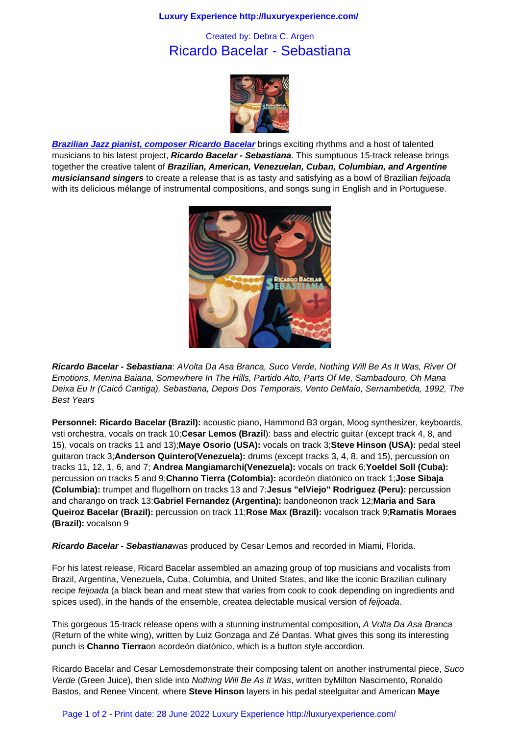## Ricardo Bacelar - Sebastiana



**Brazilian Jazz pianist, composer Ricardo Bacelar** brings exciting rhythms and a host of talented musicians to his latest project, **Ricardo Bacelar - Sebastiana**. This sumptuous 15-track release brings together the creative talent of **Brazilian, American, Venezuelan, Cuban, Columbian, and Argentine musiciansand singers** to create a release that is as tasty and satisfying as a bowl of Brazilian feijoada [with its delicious mélange of instrumental composition](http://www.ricardobacelar.com.br/)s, and songs sung in English and in Portuguese.



**Ricardo Bacelar - Sebastiana**: AV[olta Da Asa Branca, Suco Verde, Not](http://www.ricardobacelar.com.br/)hing Will Be As It Was, River Of Emotions, Menina Baiana, Somewhere In The Hills, Partido Alto, Parts Of Me, Sambadouro, Oh Mana Deixa Eu Ir (Caicó Cantiga), Sebastiana, Depois Dos Temporais, Vento DeMaio, Sernambetida, 1992, The Best Years

**Personnel: Ricardo Bacelar (Brazil):** acoustic piano, Hammond B3 organ, Moog synthesizer, keyboards, vsti orchestra, vocals on track 10;**Cesar Lemos (Brazil**): bass and electric guitar (except track 4, 8, and 15), vocals on tracks 11 and 13);**Maye Osorio (USA):** vocals on track 3;**Steve Hinson (USA):** pedal steel guitaron track 3;**Anderson Quintero(Venezuela):** drums (except tracks 3, 4, 8, and 15), percussion on tracks 11, 12, 1, 6, and 7; **Andrea Mangiamarchi(Venezuela):** vocals on track 6;**Yoeldel Soll (Cuba):**  percussion on tracks 5 and 9;**Channo Tierra (Colombia):** acordeón diatónico on track 1;**Jose Sibaja (Columbia):** trumpet and flugelhorn on tracks 13 and 7;**Jesus "elViejo" Rodriguez (Peru):** percussion and charango on track 13:**Gabriel Fernandez (Argentina):** bandoneonon track 12;**Maria and Sara Queiroz Bacelar (Brazil):** percussion on track 11;**Rose Max (Brazil):** vocalson track 9;**Ramatis Moraes (Brazil):** vocalson 9

**Ricardo Bacelar - Sebastiana**was produced by Cesar Lemos and recorded in Miami, Florida.

For his latest release, Ricard Bacelar assembled an amazing group of top musicians and vocalists from Brazil, Argentina, Venezuela, Cuba, Columbia, and United States, and like the iconic Brazilian culinary recipe feijoada (a black bean and meat stew that varies from cook to cook depending on ingredients and spices used), in the hands of the ensemble, createa delectable musical version of *feijoada*.

This gorgeous 15-track release opens with a stunning instrumental composition, A Volta Da Asa Branca (Return of the white wing), written by Luiz Gonzaga and Zé Dantas. What gives this song its interesting punch is **Channo Tierra**on acordeón diatónico, which is a button style accordion.

Ricardo Bacelar and Cesar Lemosdemonstrate their composing talent on another instrumental piece, Suco Verde (Green Juice), then slide into Nothing Will Be As It Was, written byMilton Nascimento, Ronaldo Bastos, and Renee Vincent, where **Steve Hinson** layers in his pedal steelguitar and American **Maye**